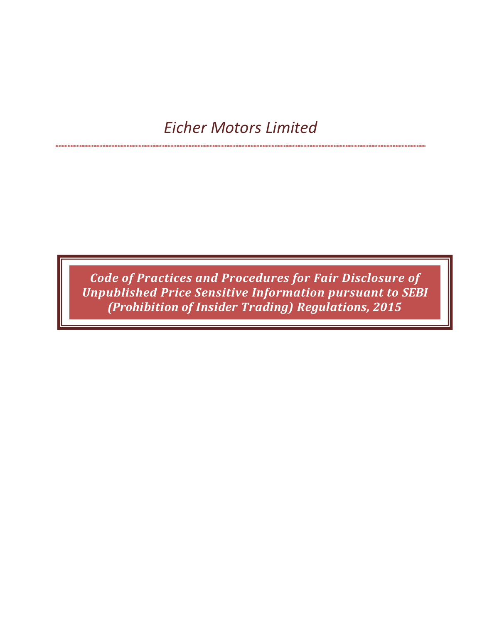# Eicher Motors Limited

Code of Practices and Procedures for Fair Disclosure of Unpublished Price Sensitive Information pursuant to SEBI (Prohibition of Insider Trading) Regulations, 2015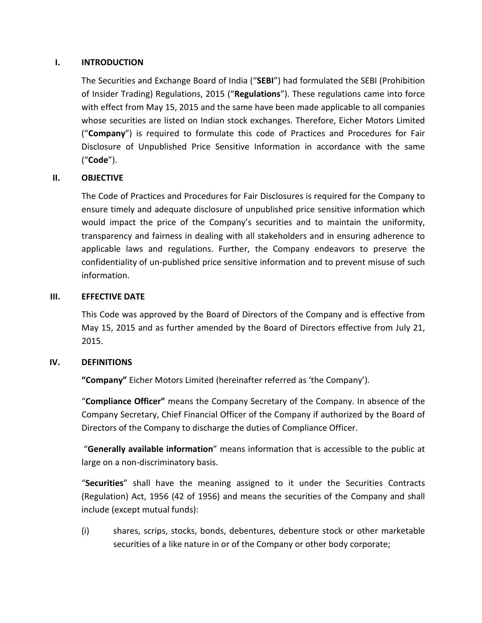## I. INTRODUCTION

The Securities and Exchange Board of India ("SEBI") had formulated the SEBI (Prohibition of Insider Trading) Regulations, 2015 ("Regulations"). These regulations came into force with effect from May 15, 2015 and the same have been made applicable to all companies whose securities are listed on Indian stock exchanges. Therefore, Eicher Motors Limited ("Company") is required to formulate this code of Practices and Procedures for Fair Disclosure of Unpublished Price Sensitive Information in accordance with the same ("Code").

## II. OBJECTIVE

The Code of Practices and Procedures for Fair Disclosures is required for the Company to ensure timely and adequate disclosure of unpublished price sensitive information which would impact the price of the Company's securities and to maintain the uniformity, transparency and fairness in dealing with all stakeholders and in ensuring adherence to applicable laws and regulations. Further, the Company endeavors to preserve the confidentiality of un-published price sensitive information and to prevent misuse of such information.

#### III. EFFECTIVE DATE

This Code was approved by the Board of Directors of the Company and is effective from May 15, 2015 and as further amended by the Board of Directors effective from July 21, 2015.

### IV. DEFINITIONS

"Company" Eicher Motors Limited (hereinafter referred as 'the Company').

"Compliance Officer" means the Company Secretary of the Company. In absence of the Company Secretary, Chief Financial Officer of the Company if authorized by the Board of Directors of the Company to discharge the duties of Compliance Officer.

 "Generally available information" means information that is accessible to the public at large on a non-discriminatory basis.

"Securities" shall have the meaning assigned to it under the Securities Contracts (Regulation) Act, 1956 (42 of 1956) and means the securities of the Company and shall include (except mutual funds):

(i) shares, scrips, stocks, bonds, debentures, debenture stock or other marketable securities of a like nature in or of the Company or other body corporate;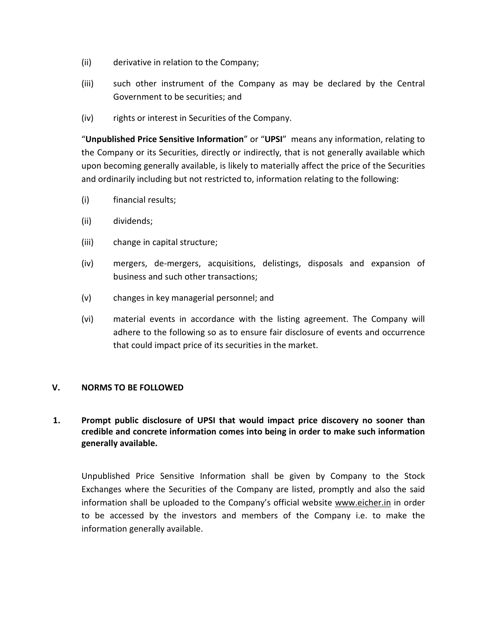- (ii) derivative in relation to the Company;
- (iii) such other instrument of the Company as may be declared by the Central Government to be securities; and
- (iv) rights or interest in Securities of the Company.

"Unpublished Price Sensitive Information" or "UPSI" means any information, relating to the Company or its Securities, directly or indirectly, that is not generally available which upon becoming generally available, is likely to materially affect the price of the Securities and ordinarily including but not restricted to, information relating to the following:

- (i) financial results;
- (ii) dividends;
- (iii) change in capital structure;
- (iv) mergers, de-mergers, acquisitions, delistings, disposals and expansion of business and such other transactions;
- (v) changes in key managerial personnel; and
- (vi) material events in accordance with the listing agreement. The Company will adhere to the following so as to ensure fair disclosure of events and occurrence that could impact price of its securities in the market.

### V. NORMS TO BE FOLLOWED

## 1. Prompt public disclosure of UPSI that would impact price discovery no sooner than credible and concrete information comes into being in order to make such information generally available.

 Unpublished Price Sensitive Information shall be given by Company to the Stock Exchanges where the Securities of the Company are listed, promptly and also the said information shall be uploaded to the Company's official website www.eicher.in in order to be accessed by the investors and members of the Company i.e. to make the information generally available.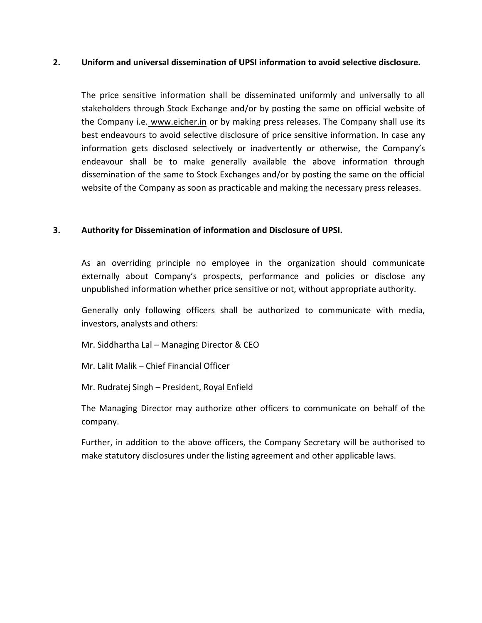#### 2. Uniform and universal dissemination of UPSI information to avoid selective disclosure.

 The price sensitive information shall be disseminated uniformly and universally to all stakeholders through Stock Exchange and/or by posting the same on official website of the Company i.e. www.eicher.in or by making press releases. The Company shall use its best endeavours to avoid selective disclosure of price sensitive information. In case any information gets disclosed selectively or inadvertently or otherwise, the Company's endeavour shall be to make generally available the above information through dissemination of the same to Stock Exchanges and/or by posting the same on the official website of the Company as soon as practicable and making the necessary press releases.

### 3. Authority for Dissemination of information and Disclosure of UPSI.

As an overriding principle no employee in the organization should communicate externally about Company's prospects, performance and policies or disclose any unpublished information whether price sensitive or not, without appropriate authority.

Generally only following officers shall be authorized to communicate with media, investors, analysts and others:

Mr. Siddhartha Lal – Managing Director & CEO

Mr. Lalit Malik – Chief Financial Officer

Mr. Rudratej Singh – President, Royal Enfield

The Managing Director may authorize other officers to communicate on behalf of the company.

Further, in addition to the above officers, the Company Secretary will be authorised to make statutory disclosures under the listing agreement and other applicable laws.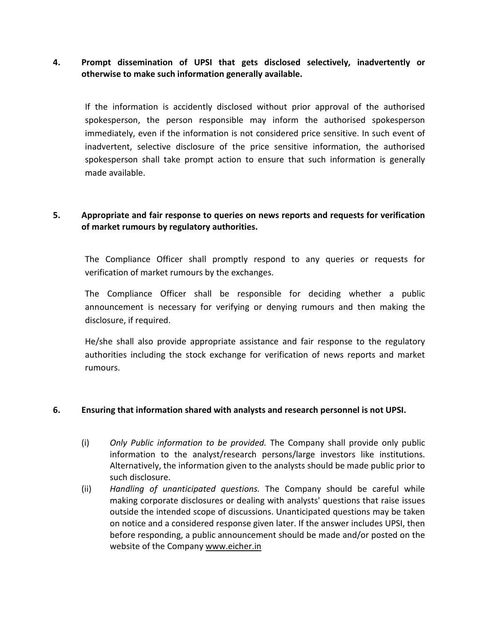## 4. Prompt dissemination of UPSI that gets disclosed selectively, inadvertently or otherwise to make such information generally available.

 If the information is accidently disclosed without prior approval of the authorised spokesperson, the person responsible may inform the authorised spokesperson immediately, even if the information is not considered price sensitive. In such event of inadvertent, selective disclosure of the price sensitive information, the authorised spokesperson shall take prompt action to ensure that such information is generally made available.

## 5. Appropriate and fair response to queries on news reports and requests for verification of market rumours by regulatory authorities.

 The Compliance Officer shall promptly respond to any queries or requests for verification of market rumours by the exchanges.

 The Compliance Officer shall be responsible for deciding whether a public announcement is necessary for verifying or denying rumours and then making the disclosure, if required.

 He/she shall also provide appropriate assistance and fair response to the regulatory authorities including the stock exchange for verification of news reports and market rumours.

#### 6. Ensuring that information shared with analysts and research personnel is not UPSI.

- (i) Only Public information to be provided. The Company shall provide only public information to the analyst/research persons/large investors like institutions. Alternatively, the information given to the analysts should be made public prior to such disclosure.
- (ii) Handling of unanticipated questions. The Company should be careful while making corporate disclosures or dealing with analysts' questions that raise issues outside the intended scope of discussions. Unanticipated questions may be taken on notice and a considered response given later. If the answer includes UPSI, then before responding, a public announcement should be made and/or posted on the website of the Company www.eicher.in